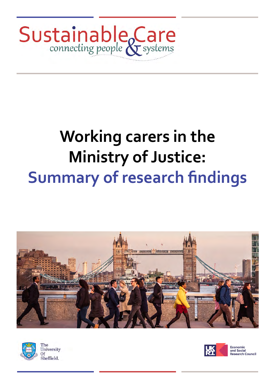

# **Working carers in the Ministry of Justice: Summary of research findings**









Economic and Social and sector<br>Research Council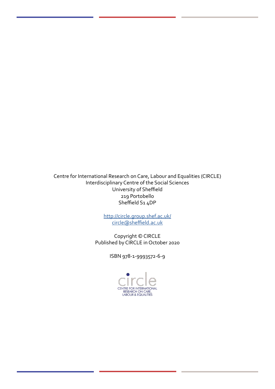Centre for International Research on Care, Labour and Equalities (CIRCLE) Interdisciplinary Centre of the Social Sciences University of Sheffield 219 Portobello Sheffield S1 4DP

> <http://circle.group.shef.ac.uk/> [circle@sheffield.ac.uk](mailto:circle@sheffield.ac.uk)

Copyright © CIRCLE Published by CIRCLE in October 2020

ISBN 978-1-9993572-6-9

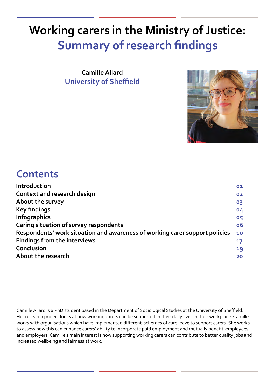# **Working carers in the Ministry of Justice: Summary of research findings**

**Camille Allard University of Sheffield**



### **Contents**

| Introduction                                                                | 01 |
|-----------------------------------------------------------------------------|----|
| Context and research design                                                 | 02 |
| About the survey                                                            | 03 |
| <b>Key findings</b>                                                         | 04 |
| <b>Infographics</b>                                                         | 05 |
| Caring situation of survey respondents                                      | 06 |
| Respondents' work situation and awareness of working carer support policies | 10 |
| <b>Findings from the interviews</b>                                         | 17 |
| Conclusion                                                                  | 19 |
| About the research                                                          | 20 |
|                                                                             |    |

Camille Allard is a PhD student based in the Department of Sociological Studies at the University of Sheffield. Her research project looks at how working carers can be supported in their daily lives in their workplace. Camille works with organisations which have implemented different schemes of care leave to support carers. She works to assess how this can enhance carers' ability to incorporate paid employment and mutually benefit employees and employers. Camille's main interest is how supporting working carers can contribute to better quality jobs and increased wellbeing and fairness at work.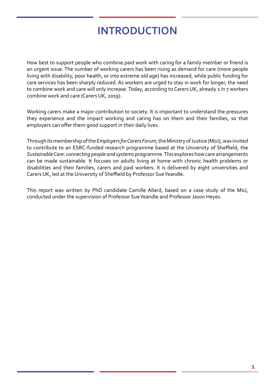### **INTRODUCTION**

How best to support people who combine paid work with caring for a family member or friend is an urgent issue. The number of working carers has been rising as demand for care (more people living with disability, poor health, or into extreme old age) has increased, while public funding for care services has been sharply reduced. As workers are urged to stay in work for longer, the need to combine work and care will only increase. Today, according to Carers UK, already 1 in 7 workers combine work and care (Carers UK, 2019).

Working carers make a major contribution to society. It is important to understand the pressures they experience and the impact working and caring has on them and their families, so that employers can offer them good support in their daily lives.

Through its membership of the *Employers for Carers Forum*, the Ministry of Justice (MoJ), was invited to contribute to an ESRC-funded research programme based at the University of Sheffield, the *Sustainable Care: connecting people and systems* programme. This explores how care arrangements can be made sustainable. It focuses on adults living at home with chronic health problems or disabilities and their families, carers and paid workers. It is delivered by eight universities and Carers UK, led at the University of Sheffield by Professor Sue Yeandle.

This report was written by PhD candidate Camille Allard, based on a case study of the MoJ, conducted under the supervision of Professor Sue Yeandle and Professor Jason Heyes.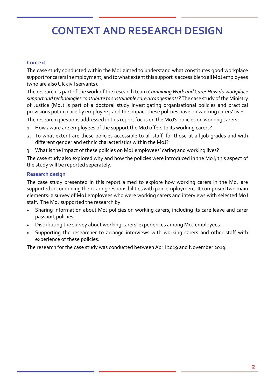### **CONTEXT AND RESEARCH DESIGN**

#### **Context**

The case study conducted within the MoJ aimed to understand what constitutes good workplace support for carers in employment, and to what extent this support is accessible to all MoJ employees (who are also UK civil servants).

The research is part of the work of the research team *Combining Work and Care: How do workplace support and technologies contribute to sustainable care arrangements?* The case study of the Ministry of Justice (MoJ) is part of a doctoral study investigating organisational policies and practical provisions put in place by employers, and the impact these policies have on working carers' lives.

The research questions addressed in this report focus on the MoJ's policies on working carers:

- 1. How aware are employees of the support the MoJ offers to its working carers?
- 2. To what extent are these policies accessible to all staff, for those at all job grades and with different gender and ethnic characteristics within the MoJ?
- 3. What is the impact of these policies on MoJ employees' caring and working lives?

The case study also explored why and how the policies were introduced in the MoJ; this aspect of the study will be reported seperately.

### **Research design**

The case study presented in this report aimed to explore how working carers in the MoJ are supported in combining their caring responsibilities with paid employment. It comprised two main elements: a survey of MoJ employees who were working carers and interviews with selected MoJ staff. The MoJ supported the research by:

- Sharing information about MoJ policies on working carers, including its care leave and carer passport policies.
- Distributing the survey about working carers' experiences among MoJ employees.
- Supporting the researcher to arrange interviews with working carers and other staff with experience of these policies.

The research for the case study was conducted between April 2019 and November 2019.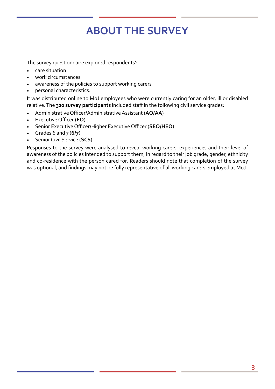# **ABOUT THE SURVEY**

The survey questionnaire explored respondents':

- care situation
- work circumstances
- awareness of the policies to support working carers
- personal characteristics.

It was distributed online to MoJ employees who were currently caring for an older, ill or disabled relative. The **320 survey participants** included staff in the following civil service grades:

- Administrative Officer/Administrative Assistant (**AO/AA**)
- Executive Officer (**EO**)
- Senior Executive Officer/Higher Executive Officer (**SEO/HEO**)
- Grades 6 and 7 (**6/7**)
- Senior Civil Service (**SCS**)

Responses to the survey were analysed to reveal working carers' experiences and their level of awareness of the policies intended to support them, in regard to their job grade, gender, ethnicity and co-residence with the person cared for. Readers should note that completion of the survey was optional, and findings may not be fully representative of all working carers employed at MoJ.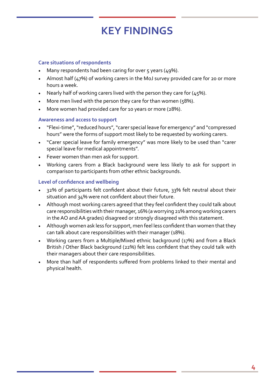### **KEY FINDINGS**

#### **Care situations of respondents**

- Many respondents had been caring for over  $\zeta$  years (49%).
- Almost half ( $47\%$ ) of working carers in the MoJ survey provided care for 20 or more hours a week.
- Nearly half of working carers lived with the person they care for  $(45%)$ .
- More men lived with the person they care for than women (58%).
- More women had provided care for 10 years or more (28%).

#### **Awareness and access to support**

- "Flexi-time", "reduced hours", "carer special leave for emergency" and "compressed hours" were the forms of support most likely to be requested by working carers.
- "Carer special leave for family emergency" was more likely to be used than "carer special leave for medical appointments".
- Fewer women than men ask for support.
- Working carers from a Black background were less likely to ask for support in comparison to participants from other ethnic backgrounds.

#### **Level of confidence and wellbeing**

- 32% of participants felt confident about their future, 33% felt neutral about their situation and 34% were not confident about their future.
- Although most working carers agreed that they feel confident they could talk about care responsibilities with their manager, 16% (a worrying 21% among working carers in the AO and AA grades) disagreed or strongly disagreed with this statement.
- Although women ask less for support, men feel less confident than women that they can talk about care responsibilities with their manager (18%).
- Working carers from a Multiple/Mixed ethnic background (17%) and from a Black British / Other Black background (22%) felt less confident that they could talk with their managers about their care responsibilities.
- More than half of respondents suffered from problems linked to their mental and physical health.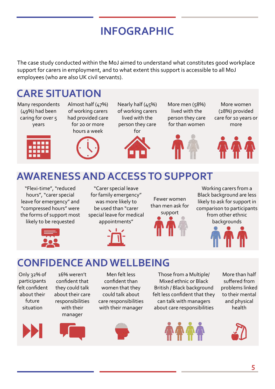# **INFOGRAPHIC**

The case study conducted within the MoJ aimed to understand what constitutes good workplace support for carers in employment, and to what extent this support is accessible to all MoJ employees (who are also UK civil servants).

### **CARE SITUATION**

Many respondents (49%) had been caring for over 5 years



Almost half (47%) of working carers had provided care for 20 or more hours a week Nearly half (45%) of working carers person they care



lived with the

More men (58%) lived with the person they care for than women

More women (28%) provided care for 10 years or more



### **AWARENESS AND ACCESS TO SUPPORT**

"Flexi-time", "reduced hours", "carer special leave for emergency" and "compressed hours" were the forms of support most likely to be requested

"Carer special leave for family emergency" was more likely to be used than "carer special leave for medical appointments"



Fewer women than men ask for support



Working carers from a Black background are less likely to ask for support in comparison to participants from other ethnic backgrounds

### **CONFIDENCE AND WELLBEING**

Only 32% of participants felt confident about their future situation





Men felt less confident than women that they could talk about care responsibilities with their manager



Those from a Multiple/ Mixed ethnic or Black British / Black background felt less confident that they can talk with managers about care responsibilities



More than half suffered from problems linked to their mental and physical health

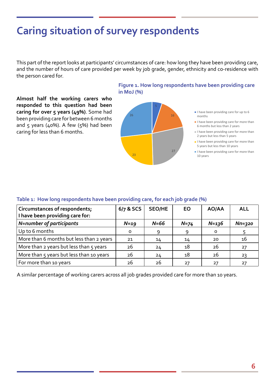This part of the report looks at participants' circumstances of care: how long they have been providing care, and the number of hours of care provided per week by job grade, gender, ethnicity and co-residence with the person cared for.

**Almost half the working carers who responded to this question had been caring for over 5 years (49%)**. Some had been providing care for between 6 months and  $5$  years (40%). A few ( $5\%$ ) had been caring for less than 6 months.

#### **Figure 1. How long respondents have been providing care in MoJ (%)**

16

27

- I have been providing care for up to 6 months
- I have been providing care for more than 6 months but less than 2 years
- I have been providing care for more than 2 years but less than 5 years
- I have been providing care for more than 5 years but less than 10 years
- I have been providing care for more than 10 years

#### **Table 1: How long respondents have been providing care, for each job grade (%)**

| <b>Circumstances of respondents;</b><br>I have been providing care for: | 6/7 & SCS | <b>SEO/HE</b> | <b>EO</b> | AO/AA     | ALL      |
|-------------------------------------------------------------------------|-----------|---------------|-----------|-----------|----------|
| N=number of participants                                                | $N=19$    | $N=66$        | $N=74$    | $N = 136$ | $Nn=320$ |
| Up to 6 months                                                          | $\Omega$  | -9            | 9         | O         |          |
| More than 6 months but less than 2 years                                | 21        | 14            | 14        | 20        | 16       |
| More than 2 years but less than 5 years                                 | 26        | 24            | 18        | 26        | 27       |
| More than 5 years but less than 10 years                                | 26        | 24            | 18        | 26        | 23       |
| For more than 10 years                                                  | 26        | 26            | 27        | 27        | 27       |

23

26

A similar percentage of working carers across all job grades provided care for more than 10 years.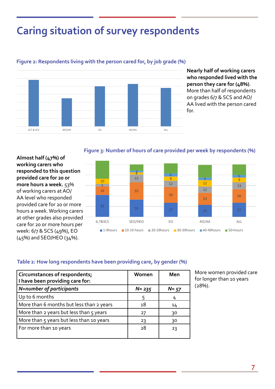

#### **Figure 2: Respondents living with the person cared for, by job grade (%)**

**Nearly half of working carers who responded lived with the person they care for (48%)**. More than half of respondents on grades 6/7 & SCS and AO/ AA lived with the person cared for.

#### **Figure 3: Number of hours of care provided per week by respondents (%) respondents, per job grade (%)**

**Almost half (47%) of working carers who responded to this question provided care for 20 or more hours a week.** 53% of working carers at AO/ AA level who responded provided care for 20 or more hours a week. Working carers at other grades also provided care for 20 or more hours per week: 6/7 & SCS (49%), EO (45%) and SEO/HEO (34%).



#### **Table 2: How long respondents have been providing care, by gender (%)**

| Circumstances of respondents;<br>I have been providing care for: | Women     | Men      |
|------------------------------------------------------------------|-----------|----------|
| N=number of participants                                         | $N = 235$ | $N = 57$ |
| Up to 6 months                                                   | 5         | 4        |
| More than 6 months but less than 2 years                         | 18        | 14       |
| More than 2 years but less than 5 years                          | 27        | 30       |
| More than 5 years but less than 10 years                         | 23        | 30       |
| For more than 10 years                                           | 28        | 23       |

More women provided care for longer than 10 years (28%).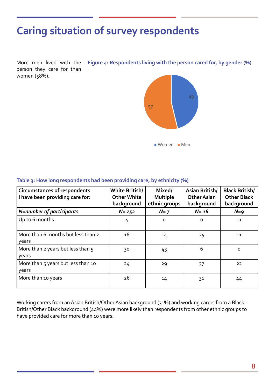More men lived with the person they care for than women (58%). **Figure 4: Respondents living with the person cared for, by gender (%) cared for, per gender (%)**



| <b>Circumstances of respondents</b><br>I have been providing care for: | White British/<br>Other White<br>background | Mixed/<br><b>Multiple</b><br>ethnic groups | Asian British/<br><b>Other Asian</b><br>background | <b>Black British/</b><br><b>Other Black</b><br>background |
|------------------------------------------------------------------------|---------------------------------------------|--------------------------------------------|----------------------------------------------------|-----------------------------------------------------------|
| N=number of participants                                               | $N = 252$                                   | $N=7$                                      | $N = 16$                                           | $N=9$                                                     |
| Up to 6 months                                                         | 4                                           | $\Omega$                                   | $\Omega$                                           | 11                                                        |
| More than 6 months but less than 2<br>years                            | 16                                          | 14                                         | 25                                                 | 11                                                        |
| More than 2 years but less than 5<br>years                             | 30                                          | 43                                         | 6                                                  | $\Omega$                                                  |
| More than 5 years but less than 10<br>years                            | 24                                          | 29                                         | 37                                                 | 22                                                        |
| More than 10 years                                                     | 26                                          | 14                                         | 31                                                 | 44                                                        |

#### **Table 3: How long respondents had been providing care, by ethnicity (%)**

Working carers from an Asian British/Other Asian background (31%) and working carers from a Black British/Other Black background (44%) were more likely than respondents from other ethnic groups to have provided care for more than 10 years.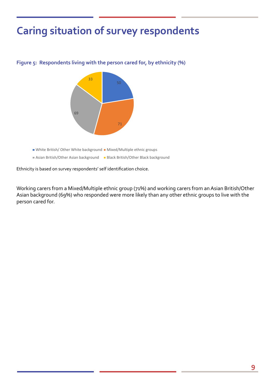

**Figure 5: Respondents living with the person cared for, by ethnicity (%)**

Ethnicity is based on survey respondents' self identification choice.

Working carers from a Mixed/Multiple ethnic group (71%) and working carers from an Asian British/Other Asian background (69%) who responded were more likely than any other ethnic groups to live with the person cared for.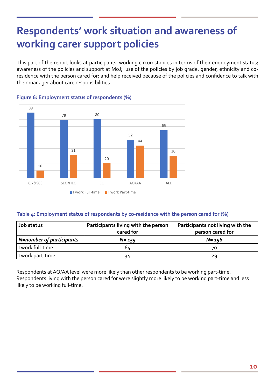This part of the report looks at participants' working circumstances in terms of their employment status; awareness of the policies and support at MoJ; use of the policies by job grade, gender, ethnicity and coresidence with the person cared for; and help received because of the policies and confidence to talk with their manager about care responsibilities.



#### **Figure 6: Employment status of respondents (%)**

#### **Table 4: Employment status of respondents by co-residence with the person cared for (%)**

| Job status               | Participants living with the person<br>cared for | Participants not living with the<br>person cared for |
|--------------------------|--------------------------------------------------|------------------------------------------------------|
| N=number of participants | $N = 155$                                        | $N = 156$                                            |
| I work full-time         | 64                                               | 70                                                   |
| I work part-time         | 34                                               | 29                                                   |

Respondents at AO/AA level were more likely than other respondents to be working part-time. Respondents living with the person cared for were slightly more likely to be working part-time and less likely to be working full-time.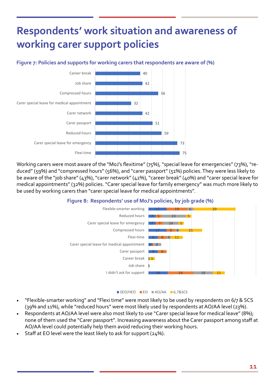#### **Figure 7: Policies and supports for working carers that respondents are aware of (%)**



Working carers were most aware of the "MoJ's flexitime" (75%), "special leave for emergencies" (73%), "reduced" (59%) and "compressed hours" (56%), and "carer passport" (51%) policies. They were less likely to be aware of the "job share" (43%), "carer network" (42%), "career break" (40%) and "carer special leave for medical appointments" (32%) policies. "Carer special leave for family emergency" was much more likely to be used by working carers than "carer special leave for medical appointments".

#### **Figure 8: Respondents' use of MoJ's policies, by job grade (%)**



#### SEO/HEO EO AO/AA 6,7&SCS

- "Flexible-smarter working" and "Flexi time" were most likely to be used by respondents on 6/7 & SCS (39% and 11%), while "reduced hours" were most likely used by respondents at AO/AA level (23%).
- Respondents at AO/AA level were also most likely to use "Carer special leave for medical leave" (8%); none of them used the "Carer passport". Increasing awareness about the Carer passport among staff at AO/AA level could potentially help them avoid reducing their working hours.
- Staff at EO level were the least likely to ask for support (24%).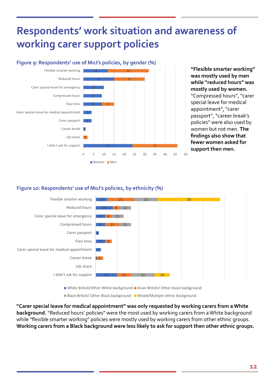

**"Flexible smarter working" was mostly used by men while "reduced hours" was mostly used by women.** "Compressed hours", "carer special leave for medical appointment", "carer passport", "career break's policies" were also used by women but not men. **The findings also show that fewer women asked for support then men.**<br><sup>50</sup>

### **Figure 10: Respondents' use of MoJ's policies, by ethnicity (%)**



**"Carer special leave for medical appointment" was only requested by working carers from a White background.** "Reduced hours' policies" were the most used by working carers from a White background while "flexible smarter working" policies were mostly used by working carers from other ethnic groups. **Working carers from a Black background were less likely to ask for support then other ethnic groups.**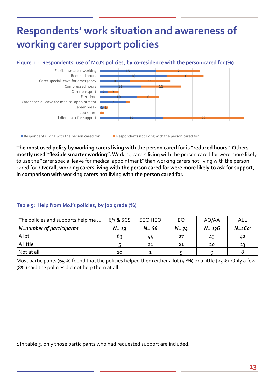#### **Figure 11: Respondents' use of MoJ's policies, by co-residence with the person cared for (%)**



Respondents living with the person cared for **Respondents not living with the person cared for** 

**The most used policy by working carers living with the person cared for is "reduced hours". Others mostly used "flexible smarter working".** Working carers living with the person cared for were more likely to use the "carer special leave for medical appointment" than working carers not living with the person cared for. **Overall, working carers living with the person cared for were more likely to ask for support, in comparison with working carers not living with the person cared for.** 

#### **Table 5: Help from MoJ's policies, by job grade (%)**

| The policies and supports help me | $6/7$ & SCS | SEO HEO  | <b>EO</b> | AO/AA     | ALL         |
|-----------------------------------|-------------|----------|-----------|-----------|-------------|
| N=number of participants          | $N = 19$    | $N = 66$ | $N = 74$  | $N = 136$ | $N = 260^1$ |
| A lot                             | 63          | 44       |           | 43        | 42          |
| A little                          |             | 21       | 21        | 20        | -23         |
| Not at all                        | 10          |          |           |           |             |

Most participants (65%) found that the policies helped them either a lot (42%) or a little (23%). Only a few (8%) said the policies did not help them at all.

<sup>1</sup> In table 5, only those participants who had requested support are included.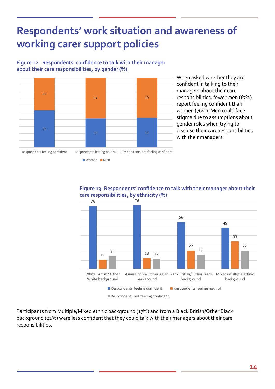#### **Figure 12: Respondents' confidence to talk with their manager about their care responsibilities, by gender (%)**



When asked whether they are confident in talking to their managers about their care responsibilities, fewer men (67%) report feeling confident than women (76%). Men could face stigma due to assumptions about gender roles when trying to disclose their care responsibilities with their managers.

Respondents feeling confident Respondents feeling neutral Respondents not feeling confident

Women Men

**Figure 13: Respondents' confidence to talk with their manager about their care responsibilities, by ethnicity (%)** 



Respondents not feeling confident

Participants from Multiple/Mixed ethnic background (17%) and from a Black British/Other Black background (22%) were less confident that they could talk with their managers about their care responsibilities.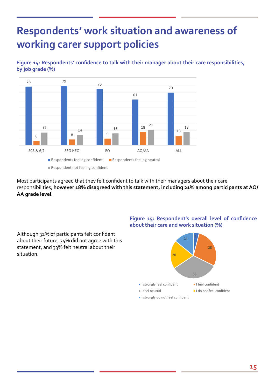

Although 32% of participants felt confident about their future, 34% did not agree with this statement, and 33% felt neutral about their

situation.

**Figure 14: Respondents' confidence to talk with their manager about their care responsibilities, by job grade (%)**

Most participants agreed that they felt confident to talk with their managers about their care responsibilities, **however 18% disagreed with this statement, including 21% among participants at AO/ AA grade level**.



### Figure 15: Respondent's overall level of confidence **about their care and work situation (%) care and work situation (%)**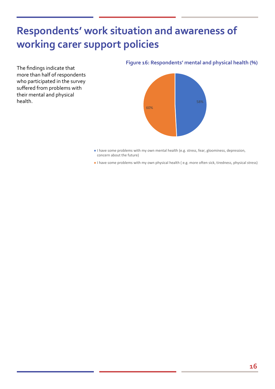The findings indicate that more than half of respondents who participated in the survey suffered from problems with their mental and physical **health.** Suppose the contract of the contract of the contract of the contract of the contract of the contract of the contract of the contract of the contract of the contract of the contract of the contract of the contract

#### **Figure 16: Respondents' mental and physical health (%)**



- I have some problems with my own mental health (e.g. stress, fear, gloominess, depression, concern about the future)
- I have some problems with my own physical health ( e.g. more often sick, tiredness, physical stress)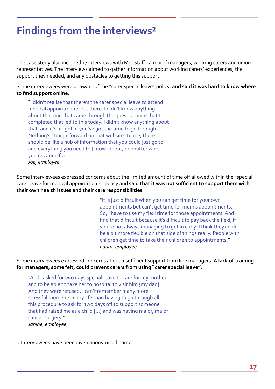### **Findings from the interviews²**

The case study also included 17 interviews with MoJ staff - a mix of managers, working carers and union representatives. The interviews aimed to gather information about working carers' experiences, the support they needed, and any obstacles to getting this support.

Some interviewees were unaware of the "carer special leave" policy, **and said it was hard to know where to find support online**.

"I didn't realise that there's the carer special leave to attend medical appointments out there. I didn't know anything about that and that came through the questionnaire that I completed that led to this today. I didn't know anything about that, and it's alright, if you've got the time to go through. Nothing's straightforward on that website. To me, there should be like a hub of information that you could just go to and everything you need to [know] about, no matter who you're caring for." *Joe, employee* 

Some interviewees expressed concerns about the limited amount of time off allowed within the "special carer leave for medical appointments" policy and **said that it was not sufficient to support them with their own health issues and their care responsibilities**:

> "It is just difficult when you can get time for your own appointments but can't get time for mum's appointments. So, I have to use my flexi time for those appointments. And I find that difficult because it's difficult to pay back the flexi, if you're not always managing to get in early. I think they could be a bit more flexible on that side of things really. People with children get time to take their children to appointments." *Laura, employee*

Some interviewees expressed concerns about insufficient support from line managers. **A lack of training for managers, some felt, could prevent carers from using "carer special leave"**:

"And I asked for two days special leave to care for my mother and to be able to take her to hospital to visit him {my dad}. And they were refused. I can't remember many more stressful moments in my life than having to go through all this procedure to ask for two days off to support someone that had raised me as a child […] and was having major, major cancer surgery." *Janine, employee*

2 Interviewees have been given anonymised names.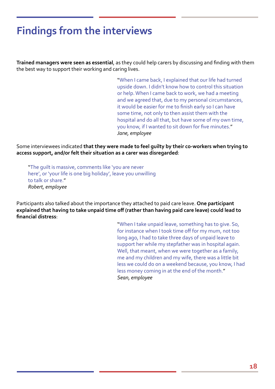### **Findings from the interviews**

**Trained managers were seen as essential**, as they could help carers by discussing and finding with them the best way to support their working and caring lives.

> "When I came back, I explained that our life had turned upside down. I didn't know how to control this situation or help. When I came back to work, we had a meeting and we agreed that, due to my personal circumstances, it would be easier for me to finish early so I can have some time, not only to then assist them with the hospital and do all that, but have some of my own time, you know, if I wanted to sit down for five minutes." *Jane, employee*

Some interviewees indicated **that they were made to feel guilty by their co-workers when trying to access support, and/or felt their situation as a carer was disregarded**:

"The guilt is massive, comments like 'you are never here', or 'your life is one big holiday', leave you unwilling to talk or share." *Robert, employee*

Participants also talked about the importance they attached to paid care leave. **One participant explained that having to take unpaid time off (rather than having paid care leave) could lead to financial distress**:

> "When I take unpaid leave, something has to give. So, for instance when I took time off for my mum, not too long ago, I had to take three days of unpaid leave to support her while my stepfather was in hospital again. Well, that meant, when we were together as a family, me and my children and my wife, there was a little bit less we could do on a weekend because, you know, I had less money coming in at the end of the month." *Sean, employee*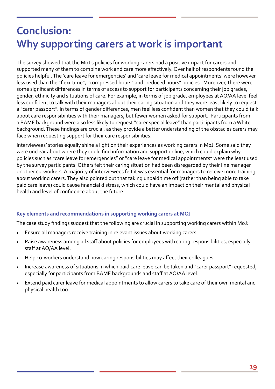### **Conclusion: Why supporting carers at work is important**

The survey showed that the MoJ's policies for working carers had a positive impact for carers and supported many of them to combine work and care more effectively. Over half of respondents found the policies helpful. The 'care leave for emergencies' and 'care leave for medical appointments' were however less used than the "flexi-time", "compressed hours" and "reduced hours" policies. Moreover, there were some significant differences in terms of access to support for participants concerning their job grades, gender, ethnicity and situations of care. For example, in terms of job grade, employees at AO/AA level feel less confident to talk with their managers about their caring situation and they were least likely to request a "carer passport". In terms of gender differences, men feel less confident than women that they could talk about care responsibilities with their managers, but fewer women asked for support. Participants from a BAME background were also less likely to request "carer special leave" than participants from a White background. These findings are crucial, as they provide a better understanding of the obstacles carers may face when requesting support for their care responsibilities.

Interviewees' stories equally shine a light on their experiences as working carers in MoJ. Some said they were unclear about where they could find information and support online, which could explain why policies such as "care leave for emergencies" or "care leave for medical appointments" were the least used by the survey participants. Others felt their caring situation had been disregarded by their line manager or other co-workers. A majority of interviewees felt it was essential for managers to receive more training about working carers. They also pointed out that taking unpaid time off (rather than being able to take paid care leave) could cause financial distress, which could have an impact on their mental and physical health and level of confidence about the future.

#### **Key elements and recommendations in supporting working carers at MOJ**

The case study findings suggest that the following are crucial in supporting working carers within MoJ:

- Ensure all managers receive training in relevant issues about working carers.
- Raise awareness among all staff about policies for employees with caring responsibilities, especially staff at AO/AA level.
- Help co-workers understand how caring responsibilities may affect their colleagues.
- Increase awareness of situations in which paid care leave can be taken and "carer passport" requested, especially for participants from BAME backgrounds and staff at AO/AA level.
- Extend paid carer leave for medical appointments to allow carers to take care of their own mental and physical health too.